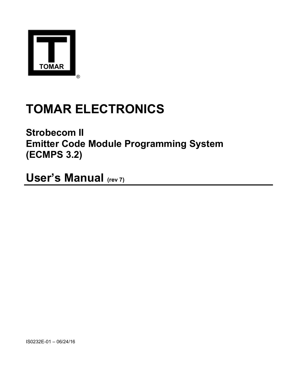

# TOMAR ELECTRONICS

Strobecom II Emitter Code Module Programming System (ECMPS 3.2)

User's Manual (rev 7)

IS0232E-01 – 06/24/16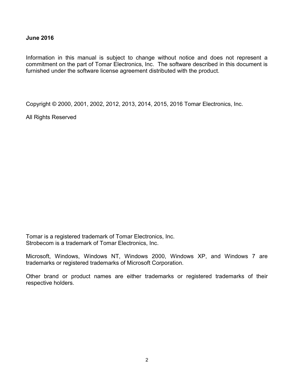### June 2016

Information in this manual is subject to change without notice and does not represent a commitment on the part of Tomar Electronics, Inc. The software described in this document is furnished under the software license agreement distributed with the product.

Copyright © 2000, 2001, 2002, 2012, 2013, 2014, 2015, 2016 Tomar Electronics, Inc.

All Rights Reserved

Tomar is a registered trademark of Tomar Electronics, Inc. Strobecom is a trademark of Tomar Electronics, Inc.

Microsoft, Windows, Windows NT, Windows 2000, Windows XP, and Windows 7 are trademarks or registered trademarks of Microsoft Corporation.

Other brand or product names are either trademarks or registered trademarks of their respective holders.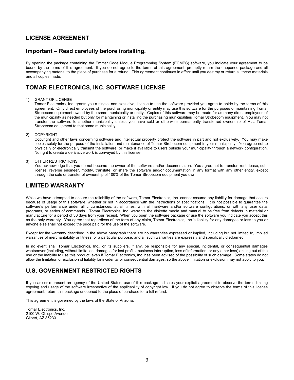# LICENSE AGREEMENT

### Important – Read carefully before installing.

By opening the package containing the Emitter Code Module Programming System (ECMPS) software, you indicate your agreement to be bound by the terms of this agreement. If you do not agree to the terms of this agreement, promptly return the unopened package and all accompanying material to the place of purchase for a refund. This agreement continues in effect until you destroy or return all these materials and all copies made.

# TOMAR ELECTRONICS, INC. SOFTWARE LICENSE

#### 1) GRANT OF LICENSE

Tomar Electronics, Inc. grants you a single, non-exclusive, license to use the software provided you agree to abide by the terms of this agreement. Only direct employees of the purchasing municipality or entity may use this software for the purposes of maintaining Tomar Strobecom equipment owned by the same municipality or entity. Copies of this software may be made for as many direct employees of the municipality as needed but only for maintaining or installing the purchasing municipalities Tomar Strobecom equipment. You may not transfer the software to another municipality unless you have sold or otherwise permanently transferred ownership of ALL Tomar Strobecom equipment to that same municipality.

#### 2) COPYRIGHT

Copyright and other laws concerning software and intellectual property protect the software in part and not exclusively. You may make copies solely for the purpose of the installation and maintenance of Tomar Strobecom equipment in your municipality. You agree not to physically or electronically transmit the software, or make it available to users outside your municipality through a network configuration. No right to create a derivative work is conveyed by this license.

#### 3) OTHER RESTRICTIONS

You acknowledge that you do not become the owner of the software and/or documentation. You agree not to transfer, rent, lease, sublicense, reverse engineer, modify, translate, or share the software and/or documentation in any format with any other entity, except through the sale or transfer of ownership of 100% of the Tomar Strobecom equipment you own.

### LIMITED WARRANTY

While we have attempted to ensure the reliability of the software, Tomar Electronics, Inc. cannot assume any liability for damage that occurs because of usage of this software, whether or not in accordance with the instructions or specifications. It is not possible to guarantee the software's performance under all circumstances, at all times, with all hardware and/or software configurations, or with any user data, programs, or series of commands. Tomar Electronics, Inc. warrants the diskette media and manual to be free from defects in material or manufacture for a period of 30 days from your receipt. When you open the software package or use the software you indicate you accept this as the only warranty. You agree that regardless of the form of any claim, Tomar Electronics, Inc.'s liability for any damages or loss to you or anyone else shall not exceed the price paid for the use of the software.

Except for the warranty described in the above paragraph there are no warranties expressed or implied, including but not limited to, implied warranties of merchantability or fitness for a particular purpose, and all such warranties are expressly and specifically disclaimed.

In no event shall Tomar Electronics, Inc., or its suppliers, if any, be responsible for any special, incidental, or consequential damages whatsoever (including, without limitation, damages for lost profits, business interruption, loss of information, or any other loss) arising out of the use or the inability to use this product, even if Tomar Electronics, Inc. has been advised of the possibility of such damage. Some states do not allow the limitation or exclusion of liability for incidental or consequential damages, so the above limitation or exclusion may not apply to you.

### U.S. GOVERNMENT RESTRICTED RIGHTS

If you are or represent an agency of the United States, use of this package indicates your explicit agreement to observe the terms limiting copying and usage of the software irrespective of the applicability of copyright law. If you do not agree to observe the terms of this license agreement, return this package unopened to the place of purchase for a full refund.

This agreement is governed by the laws of the State of Arizona.

Tomar Electronics, Inc. 2100 W. Obispo Avenue Gilbert, AZ 85233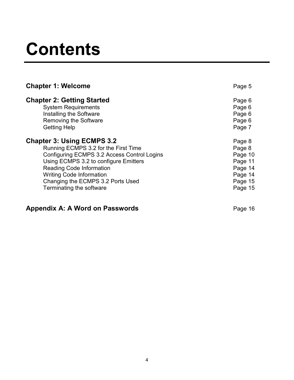# **Contents**

| <b>Chapter 1: Welcome</b>                   | Page 5  |
|---------------------------------------------|---------|
| <b>Chapter 2: Getting Started</b>           | Page 6  |
| <b>System Requirements</b>                  | Page 6  |
| Installing the Software                     | Page 6  |
| <b>Removing the Software</b>                | Page 6  |
| <b>Getting Help</b>                         | Page 7  |
| <b>Chapter 3: Using ECMPS 3.2</b>           | Page 8  |
| Running ECMPS 3.2 for the First Time        | Page 8  |
| Configuring ECMPS 3.2 Access Control Logins | Page 10 |
| Using ECMPS 3.2 to configure Emitters       | Page 11 |
| <b>Reading Code Information</b>             | Page 14 |
| <b>Writing Code Information</b>             | Page 14 |
| Changing the ECMPS 3.2 Ports Used           | Page 15 |
| Terminating the software                    | Page 15 |

# Appendix A: A Word on Passwords **Page 16** Page 16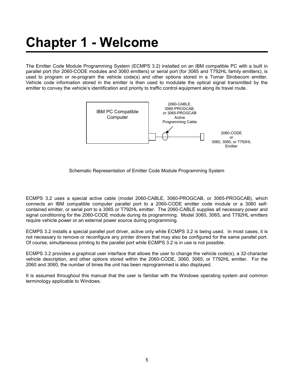# Chapter 1 - Welcome

The Emitter Code Module Programming System (ECMPS 3.2) installed on an IBM compatible PC with a built in parallel port (for 2060-CODE modules and 3060 emitters) or serial port (for 3065 and T792HL family emitters), is used to program or re-program the vehicle code(s) and other options stored in a Tomar Strobecom emitter. Vehicle code information stored in the emitter is then used to modulate the optical signal transmitted by the emitter to convey the vehicle's identification and priority to traffic control equipment along its travel route.



#### Schematic Representation of Emitter Code Module Programming System

ECMPS 3.2 uses a special active cable (model 2060-CABLE, 3060-PROGCAB, or 3065-PROGCAB), which connects an IBM compatible computer parallel port to a 2060-CODE emitter code module or a 3060 selfcontained emitter, or serial port to a 3065 or T792HL emitter. The 2060-CABLE supplies all necessary power and signal conditioning for the 2060-CODE module during its programming. Model 3060, 3065, and T792HL emitters require vehicle power or an external power source during programming.

ECMPS 3.2 installs a special parallel port driver, active only while ECMPS 3.2 is being used. In most cases, it is not necessary to remove or reconfigure any printer drivers that may also be configured for the same parallel port. Of course, simultaneous printing to the parallel port while ECMPS 3.2 is in use is not possible.

ECMPS 3.2 provides a graphical user interface that allows the user to change the vehicle code(s), a 32-character vehicle description, and other options stored within the 2060-CODE, 3060, 3065, or T792HL emitter. For the 2060 and 3060, the number of times the unit has been reprogrammed is also displayed.

It is assumed throughout this manual that the user is familiar with the Windows operating system and common terminology applicable to Windows.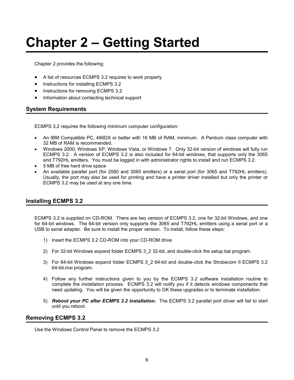# Chapter 2 – Getting Started

Chapter 2 provides the following:

- A list of resources ECMPS 3.2 requires to work properly
- Instructions for installing ECMPS 3.2
- Instructions for removing ECMPS 3.2
- Information about contacting technical support

### System Requirements

ECMPS 3.2 requires the following minimum computer configuration:

- An IBM Compatible PC, 486DX or better with 16 MB of RAM, minimum. A Pentium class computer with 32 MB of RAM is recommended.
- Windows 2000, Windows XP, Windows Vista, or Windows 7. Only 32-bit version of windows will fully run ECMPS 3.2. A version of ECMPS 3.2 is also included for 64-bit windows, that supports only the 3065 and T792HL emitters. You must be logged in with administrator rights to install and run ECMPS 3.2.
- 5 MB of free hard drive space
- An available parallel port (for 2060 and 3060 emitters) or a serial port (for 3065 and T792HL emitters). Usually, the port may also be used for printing and have a printer driver installed but only the printer or ECMPS 3.2 may be used at any one time.

#### Installing ECMPS 3.2

ECMPS 3.2 is supplied on CD-ROM. There are two version of ECMPS 3.2, one for 32-bit Windows, and one for 64-bit windows. The 64-bit version only supports the 3065 and T792HL emitters using a serial port or a USB to serial adapter. Be sure to install the proper version. To install, follow these steps:

- 1) Insert the ECMPS 3.2 CD-ROM into your CD-ROM drive.
- 2) For 32-bit Windows expand folder ECMPS 3\_2 32-bit, and double-click the setup.bat program.
- 3) For 64-bit Windows expand folder ECMPS 3\_2 64-bit and double-click the Strobecom II ECMPS 3.2 64-bit.msi program.
- 4) Follow any further instructions given to you by the ECMPS 3.2 software installation routine to complete the installation process. ECMPS 3.2 will notify you if it detects windows components that need updating. You will be given the opportunity to OK these upgrades or to terminate installation.
- 5) Reboot your PC after ECMPS 3.2 installation. The ECMPS 3.2 parallel port driver will fail to start until you reboot.

#### Removing ECMPS 3.2

Use the Windows Control Panel to remove the ECMPS 3.2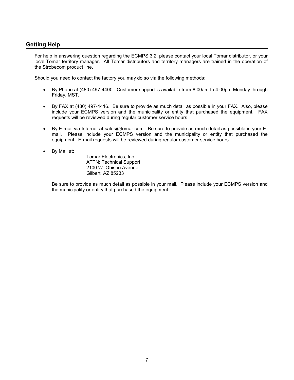# Getting Help

For help in answering question regarding the ECMPS 3.2, please contact your local Tomar distributor, or your local Tomar territory manager. All Tomar distributors and territory managers are trained in the operation of the Strobecom product line.

Should you need to contact the factory you may do so via the following methods:

- By Phone at (480) 497-4400. Customer support is available from 8:00am to 4:00pm Monday through Friday, MST.
- By FAX at (480) 497-4416. Be sure to provide as much detail as possible in your FAX. Also, please include your ECMPS version and the municipality or entity that purchased the equipment. FAX requests will be reviewed during regular customer service hours.
- By E-mail via Internet at sales@tomar.com. Be sure to provide as much detail as possible in your Email. Please include your ECMPS version and the municipality or entity that purchased the equipment. E-mail requests will be reviewed during regular customer service hours.
- By Mail at:

Tomar Electronics, Inc. ATTN: Technical Support 2100 W. Obispo Avenue Gilbert, AZ 85233

Be sure to provide as much detail as possible in your mail. Please include your ECMPS version and the municipality or entity that purchased the equipment.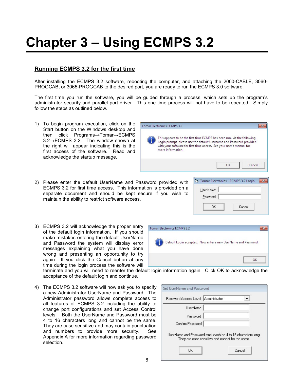# Chapter 3 – Using ECMPS 3.2

# Running ECMPS 3.2 for the first time

After installing the ECMPS 3.2 software, rebooting the computer, and attaching the 2060-CABLE, 3060- PROGCAB, or 3065-PROGCAB to the desired port, you are ready to run the ECMPS 3.0 software.

The first time you run the software, you will be guided through a process, which sets up the program's administrator security and parallel port driver. This one-time process will not have to be repeated. Simply follow the steps as outlined below.

Tomar Electronics ECMPS 3.2

more information.

1) To begin program execution, click on the Start button on the Windows desktop and then click Programs→Tomar→ECMPS 3.2→ECMPS 3.2. The window shown at the right will appear indicating this is the first access of the software. Read and acknowledge the startup message.



3) ECMPS 3.2 will acknowledge the proper entry of the default login information. If you should make mistakes entering the default UserName and Password the system will display error messages explaining what you have done wrong and presenting an opportunity to try again. If you click the Cancel button at any time during the login process the software will



terminate and you will need to reenter the default login information again. Click OK to acknowledge the acceptance of the default login and continue.

Tomar Electronics ECMPS 3.2

4) The ECMPS 3.2 software will now ask you to specify a new Administrator UserName and Password. The Administrator password allows complete access to all features of ECMPS 3.2 including the ability to change port configurations and set Access Control levels. Both the UserName and Password must be 4 to 16 characters long and cannot be the same. They are case sensitive and may contain punctuation and numbers to provide more security. See Appendix A for more information regarding password selection.



OK

 $\overline{\mathbf{x}}$ 

 $\overline{\mathbf{x}}$ 

OK

Cancel



Default Login accepted. Now enter a new UserName and Password.

This appears to be the first time ECMPS has been run. At the following Login prompt, please use the default Username and Password provided with your software for first time access. See your user's manual for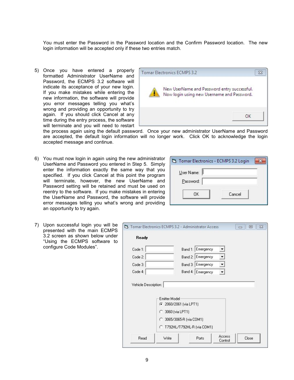You must enter the Password in the Password location and the Confirm Password location. The new login information will be accepted only if these two entries match.

5) Once you have entered a properly formatted Administrator UserName and Password, the ECMPS 3.2 software will indicate its acceptance of your new login. If you make mistakes while entering the new information, the software will provide you error messages telling you what's wrong and providing an opportunity to try again. If you should click Cancel at any time during the entry process, the software will terminate and you will need to restart



the process again using the default password. Once your new administrator UserName and Password are accepted, the default login information will no longer work. Click OK to acknowledge the login accepted message and continue.

6) You must now login in again using the new administrator UserName and Password you entered in Step 5. Simply enter the information exactly the same way that you specified. If you click Cancel at this point the program will terminate, however, the new UserName and Password setting will be retained and must be used on reentry to the software. If you make mistakes in entering the UserName and Password, the software will provide error messages telling you what's wrong and providing an opportunity to try again.

| Tomar Electronics - ECMPS 3.2 Login |        |  |
|-------------------------------------|--------|--|
| User Name:<br>Password:             |        |  |
| ΠK                                  | Cancel |  |

7) Upon successful login you will be presented with the main ECMPS 3.2 screen as shown below under "Using the ECMPS software to configure Code Modules".

| Code 1:                         |                                                  | Band 1: Emergency |   |  |
|---------------------------------|--------------------------------------------------|-------------------|---|--|
| Code 2:                         |                                                  | Band 2: Emergency |   |  |
| Code 3:                         |                                                  | Band 3: Emergency | ▼ |  |
|                                 |                                                  | Band 4: Emergency |   |  |
| Code 4:<br>Vehicle Description: |                                                  |                   |   |  |
|                                 | <b>Emitter Model</b><br>2060/2061 (via LPT1)     |                   |   |  |
|                                 | 3060 (via LPT1)<br>o<br>C 3065/3065-R (via COM1) |                   |   |  |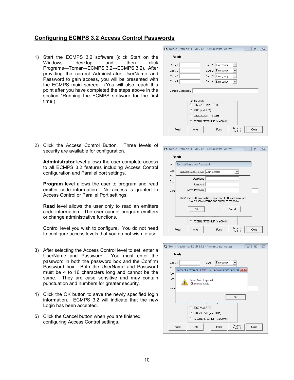# Configuring ECMPS 3.2 Access Control Passwords

1) Start the ECMPS 3.2 software (click Start on the Windows desktop and then click Programs→Tomar→ECMPS 3.2→ECMPS 3.2). After providing the correct Administrator UserName and Password to gain access, you will be presented with the ECMPS main screen. (You will also reach this point after you have completed the steps above in the section "Running the ECMPS software for the first time.)

|                      | <b>C1.</b> Tomar Electronics ECMPS 3.2 - Administrator Access                                 |                   |                      | 回<br>$\Box$ |
|----------------------|-----------------------------------------------------------------------------------------------|-------------------|----------------------|-------------|
| Ready                |                                                                                               |                   |                      |             |
| Code 1:              | Band 1:                                                                                       | Emergency         |                      |             |
| Code 2:              | Band 2:                                                                                       | Emergency         | ▼                    |             |
| Code 3:              | Band 3: I                                                                                     | Emergency         | ▼                    |             |
| Code 4:              |                                                                                               | Band 4: Emergency | $\blacktriangledown$ |             |
| Vehicle Description: |                                                                                               |                   |                      |             |
|                      | Emitter Model<br>2060/2061 (via LPT1)<br>3060 (via LPT1)<br>C.<br>3065/3065-R (via COM1)<br>n |                   |                      |             |
|                      | C T792HL/T792HL-R (via COM1)                                                                  |                   | Access               |             |

2) Click the Access Control Button. Three levels of security are available for configuration.

Administrator level allows the user complete access to all ECMPS 3.2 features including Access Control configuration and Parallel port settings.

**Program** level allows the user to program and read emitter code information. No access is granted to Access Control or Parallel Port settings.

Read level allows the user only to read an emitters code information. The user cannot program emitters or change administrative functions.

Control level you wish to configure. You do not need to configure access levels that you do not wish to use.

- 3) After selecting the Access Control level to set, enter a UserName and Password. You must enter the password in both the password box and the Confirm Password box. Both the UserName and Password must be 4 to 16 characters long and cannot be the same. They are case sensitive and may contain punctuation and numbers for greater security.
- 4) Click the OK button to save the newly specified login information. ECMPS 3.2 will indicate that the new Login has been accepted.
- 5) Click the Cancel button when you are finished configuring Access Control settings.

|       | Ready |                                     |                                                 |                                                             |  |
|-------|-------|-------------------------------------|-------------------------------------------------|-------------------------------------------------------------|--|
| Code  |       | Set UserName and Password           |                                                 |                                                             |  |
| Code  |       | Password Access Level Administrator |                                                 | ▼                                                           |  |
| Code  |       | UserName                            |                                                 |                                                             |  |
| Code  |       | Password                            |                                                 |                                                             |  |
| Vehir |       | Confirm Password                    |                                                 |                                                             |  |
|       |       |                                     | They are case sensitive and cannot be the same. | UserName and Password must each be 4 to 16 characters long. |  |
|       |       |                                     |                                                 |                                                             |  |
|       |       |                                     |                                                 |                                                             |  |
|       |       | OK                                  |                                                 | Cancel                                                      |  |
|       |       |                                     | C T792HL/T792HL-R (via COM1)                    |                                                             |  |

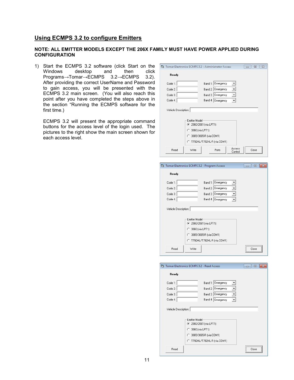### Using ECMPS 3.2 to configure Emitters

#### NOTE: ALL EMITTER MODELS EXCEPT THE 206X FAMILY MUST HAVE POWER APPLIED DURING **CONFIGURATION**

1) Start the ECMPS 3.2 software (click Start on the<br>Windows desktop and then click desktop Programs→Tomar→ECMPS 3.2→ECMPS 3.2). After providing the correct UserName and Password to gain access, you will be presented with the ECMPS 3.2 main screen. (You will also reach this point after you have completed the steps above in the section "Running the ECMPS software for the first time.)

ECMPS 3.2 will present the appropriate command buttons for the access level of the login used. The pictures to the right show the main screen shown for each access level.

| Ready                |                                                                                             |
|----------------------|---------------------------------------------------------------------------------------------|
|                      |                                                                                             |
| Code 1:              | Band 1: Emergency<br>▼                                                                      |
| Code 2:              | Band 2: Emergency<br>$\blacktriangledown$                                                   |
| Code 3:              | ▾<br>Band 3: Emergency                                                                      |
| Code 4:              | Band 4: Emergency<br>$\overline{\phantom{a}}$                                               |
| Vehicle Description: |                                                                                             |
|                      | <b>Emitter Model</b><br>2060/2061 (via LPT1)<br>3060 (via LPT1)<br>C 3065/3065-R (via COM1) |
|                      | C T792HL/T792HL-R (via COM1)                                                                |

| C. Tomar Electronics ECMPS 3.2 - Program Access |                                              |                   | 回<br>--- |
|-------------------------------------------------|----------------------------------------------|-------------------|----------|
| Ready                                           |                                              |                   |          |
| Code 1:                                         |                                              | Band 1: Emergency |          |
| Code 2:                                         |                                              | Band 2: Emergency |          |
| Code 3:                                         |                                              | Band 3: Emergency |          |
| Code 4:                                         |                                              | Band 4: Emergency |          |
| o                                               | <b>Emitter Model</b><br>2060/2061 (via LPT1) |                   |          |
|                                                 | 3060 (via LPT1)<br>3065/3065-R (via COM1)    |                   |          |
| Read                                            | C T792HL/T792HL-R (via COM1)<br>Write        |                   | Close    |

|         | C3. Tomar Electronics ECMPS 3.2 - Read Access                                                                                  |                   |                      | <b>- 0</b>    |
|---------|--------------------------------------------------------------------------------------------------------------------------------|-------------------|----------------------|---------------|
| Ready   |                                                                                                                                |                   |                      |               |
| Code 1: |                                                                                                                                | Band 1: Emergency |                      |               |
| Code 2: |                                                                                                                                | Band 2: Emergency |                      |               |
| Code 3: |                                                                                                                                | Band 3: Emergency | $\blacktriangledown$ |               |
| Code 4: |                                                                                                                                | Band 4: Emergency |                      |               |
|         | <b>Emitter Model</b><br>2060/2061 (via LPT1)<br>3060 (via LPT1)<br>o<br>3065/3065-R (via COM1)<br>C T792HL/T792HL-R (via COM1) |                   |                      |               |
| Read    |                                                                                                                                |                   |                      | <br>Close<br> |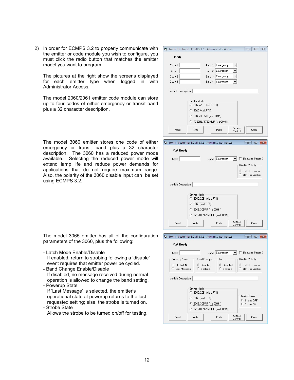2) In order for ECMPS 3.2 to properly communicate with the emitter or code module you wish to configure, you must click the radio button that matches the emitter model you want to program.

The pictures at the right show the screens displayed for each emitter type when logged in with Administrator Access.

The model 2060/2061 emitter code module can store up to four codes of either emergency or transit band plus a 32 character description.

The model 3060 emitter stores one code of either emergency or transit band plus a 32 character description. The 3060 has a reduced power mode available. Selecting the reduced power mode will extend lamp life and reduce power demands for applications that do not require maximum range. Also, the polarity of the 3060 disable input can be set using ECMPS 3.2.

|                      | 7. Tomar Electronics ECMPS 3.2 - Administrator Access<br>回<br>$\boldsymbol{\Sigma}$<br>$\Box$                                                                                                                                                           |
|----------------------|---------------------------------------------------------------------------------------------------------------------------------------------------------------------------------------------------------------------------------------------------------|
| Readv                |                                                                                                                                                                                                                                                         |
| Code 1:              | Band 1: Emergency<br>▼                                                                                                                                                                                                                                  |
| Code 2:              | Band 2: Emergency                                                                                                                                                                                                                                       |
| Code 3:              | Band 3: Emergency                                                                                                                                                                                                                                       |
| Code 4:              | Band 4: Emergency                                                                                                                                                                                                                                       |
| Vehicle Description: |                                                                                                                                                                                                                                                         |
|                      | Emitter Model-<br>2060/2061 (via LPT1)<br>C 3060 (via LPT1)                                                                                                                                                                                             |
|                      | C 3065/3065-R (via COM1)                                                                                                                                                                                                                                |
|                      | C T792HL/T792HL-R (via COM1)                                                                                                                                                                                                                            |
| Read                 | Access<br>Write<br>Close<br>Ports<br>Control                                                                                                                                                                                                            |
|                      |                                                                                                                                                                                                                                                         |
|                      |                                                                                                                                                                                                                                                         |
|                      | Tomar Electronics ECMPS 3.2 - Administrator Access<br>$\begin{array}{c c c c} \hline \multicolumn{3}{c }{\textbf{0}} & \multicolumn{3}{c }{\textbf{0}} \\\hline \multicolumn{3}{c }{\textbf{0}} & \multicolumn{3}{c }{\textbf{0}} \end{array}$<br>$-23$ |
| Port Ready           |                                                                                                                                                                                                                                                         |
| Code:                | Band: Emergency<br>$\blacktriangleright$   $\Box$ Reduced Power?                                                                                                                                                                                        |
|                      | Disable Polarity-                                                                                                                                                                                                                                       |
|                      | G GND to Disable<br>C +BAT to Disable                                                                                                                                                                                                                   |
|                      |                                                                                                                                                                                                                                                         |
| Vehicle Description: |                                                                                                                                                                                                                                                         |
|                      | Emitter Model-                                                                                                                                                                                                                                          |
|                      | C 2060/2061 (via LPT1)                                                                                                                                                                                                                                  |
|                      | ← 3060 (via LPT1)                                                                                                                                                                                                                                       |
|                      | C 3065/3065-R (via COM1)                                                                                                                                                                                                                                |
|                      | C T792HL/T792HL-R (via COM1)                                                                                                                                                                                                                            |
| Read                 | Access<br>Write<br>Ports<br>Close<br>Control                                                                                                                                                                                                            |
|                      |                                                                                                                                                                                                                                                         |
|                      | Tomar Electronics ECMPS 3.2 - Administrator Access<br>$\Box$<br>$-23$<br>$\Box$                                                                                                                                                                         |

The model 3065 emitter has all of the configuration parameters of the 3060, plus the following:

- Latch Mode Enable/Disable

 If enabled, return to strobing following a 'disable' event requires that emitter power be cycled.

- Band Change Enable/Disable If disabled, no message received during normal operation is allowed to change the band setting. - Powerup State

 If 'Last Message' is selected, the emitter's operational state at powerup returns to the last requested setting; else, the strobe is turned on. - Strobe State

Allows the strobe to be turned on/off for testing.

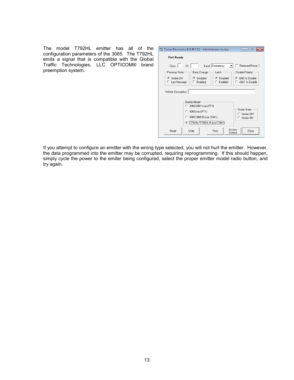The model T792HL emitter has all of the configuration parameters of the 3065. The T792HL emits a signal that is compatible with the Global Traffic Technologies, LLC OPTICOM® brand preemption system.

| <b>Port Ready</b>                       |                                                                                                                              |                             |                                         |
|-----------------------------------------|------------------------------------------------------------------------------------------------------------------------------|-----------------------------|-----------------------------------------|
| Class:                                  | ID: I                                                                                                                        | Band: Emergency             | Reduced Power?                          |
| Powerup State                           | <b>Band Change</b>                                                                                                           | Latch                       | Disable Polarity                        |
| $\sigma$<br>Strobe DN<br>C Last Message | G.<br>Disabled<br>C Enabled                                                                                                  | Disabled<br>G.<br>C Enabled | ⊙ GND to Disable<br>C +BAT to Disable   |
| Vehicle Description:                    |                                                                                                                              |                             |                                         |
|                                         | Emitter Model:<br>C 2060/2061 (via LPT1)<br>C 3060 (via LPT1)<br>3065/3065-R (via COM1)<br>C.<br>C T792HL/T792HL-R (via COM1 |                             | Strobe State<br>Strobe OFF<br>Strobe DN |

If you attempt to configure an emitter with the wrong type selected, you will not hurt the emitter. However, the data programmed into the emitter may be corrupted, requiring reprogramming. If this should happen, simply cycle the power to the emiter being configured, select the proper emitter model radio button, and try again.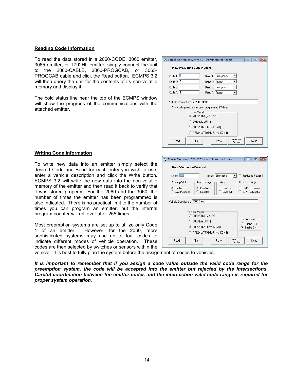#### Reading Code Information

To read the data stored in a 2060-CODE, 3060 emitter, 3065 emitter, or T792HL emitter, simply connect the unit to the 2060-CABLE, 3060-PROGCAB, or 3065- PROGCAB cable and click the Read button. ECMPS 3.2 will then query the unit for the contents of its non-volatile memory and display it.

The bold status line near the top of the ECMPS window will show the progress of the communications with the attached emitter.

|                     |                                                                                          |                 | Tomar Electronics ECMPS 3.2 - Administrator Access | $\Box$ |  |
|---------------------|------------------------------------------------------------------------------------------|-----------------|----------------------------------------------------|--------|--|
|                     | <b>Data Read from Code Module</b>                                                        |                 |                                                    |        |  |
| Code 1: $\boxed{1}$ |                                                                                          |                 | Band 1: Emergency                                  |        |  |
| Code 2: $ 2 $       |                                                                                          | Band 2: Transit |                                                    |        |  |
| Code $3:3$          |                                                                                          |                 | Band 3: Emergency                                  |        |  |
| Code 4: $ 4 $       |                                                                                          |                 | Band 4: Transit                                    |        |  |
|                     | Vehicle Description: Demonstration                                                       |                 |                                                    |        |  |
|                     | This coding module has been programmed 17 times<br>Emitter Model<br>2060/2061 (via LPT1) |                 |                                                    |        |  |
|                     | C 3060 (via LPT1)                                                                        |                 |                                                    |        |  |
|                     | 3065/3065-R (via COM1)<br>C.                                                             |                 |                                                    |        |  |
|                     | C T792HL/T792HL-R (via COM1)                                                             |                 |                                                    |        |  |

Tomar Electronics ECMPS 3.2 - Administrator Access

Data Written and Verified

#### Writing Code Information

To write new data into an emitter simply select the desired Code and Band for each entry you wish to use, enter a vehicle description and click the Write button. ECMPS 3.2 will write the new data into the non-volatile memory of the emitter and then read it back to verify that it was stored properly. For the 2060 and the 3060, the number of times the emitter has been programmed is also indicated. There is no practical limit to the number of times you can program an emitter, but the internal program counter will roll over after 255 times.

Most preemption systems are set up to utilize only Code 1 of an emitter. However, for the 2060, more sophisticated systems may use up to four codes to indicate different modes of vehicle operation. These codes are then selected by switches or sensors within the

 $\boxed{\overline{\phantom{a}}\phantom{a}}$   $\boxed{\phantom{a}}\phantom{a}$  Reduced Power ?  $Code: 120$ Band: Emergency Powerup State **Band Change** Latch Disable Polarity G Strobe ON C Disabled C Disabled G GND to Disable  $C$  Enabled  $C$  Enabled C. Last Message +BAT to Disable Vehicle Description: 3065 Demo Emitter Model 2060/2061 (via LPT1) Strobe State C 3060 (via LPT1) C Strobe OFF ● 3065/3065-R (via COM1) C Strobe ON C T792HL/T792HL-R (via COM1) Access<br>Control Read Write Ports Close

vehicle. It is best to fully plan the system before the assignment of codes to vehicles.

It is important to remember that if you assign a code value outside the valid code range for the preemption system, the code will be accepted into the emitter but rejected by the intersections. Careful coordination between the emitter codes and the intersection valid code range is required for proper system operation.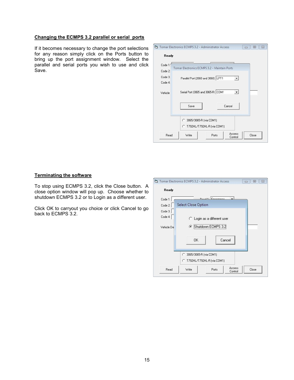#### Changing the ECMPS 3.2 parallel or serial ports

If it becomes necessary to change the port selections for any reason simply click on the Ports button to bring up the port assignment window. Select the parallel and serial ports you wish to use and click Save.



#### Terminating the software

To stop using ECMPS 3.2, click the Close button. A close option window will pop up. Choose whether to shutdown ECMPS 3.2 or to Login as a different user.

Click OK to carryout you choice or click Cancel to go back to ECMPS 3.2.

|            | T3. Tomar Electronics ECMPS 3.2 - Administrator Access | $\Sigma$<br>回<br>$\Box$ |
|------------|--------------------------------------------------------|-------------------------|
| Ready      |                                                        |                         |
| Code 1:    | Empressou                                              |                         |
| Code 2:    | Select Close Option                                    |                         |
| Code 3:    |                                                        |                         |
| Code 4:    | C Login as a different user                            |                         |
| Vehicle De | C Shutdown ECMPS 3.2                                   |                         |
|            | Cancel<br><b>OK</b>                                    |                         |
|            | C 3065/3065-R (via COM1)                               |                         |
|            | C T792HL/T792HL-R (via COM1)                           |                         |
| Read       | Access<br>Write<br>Ports<br>Control                    | Close                   |